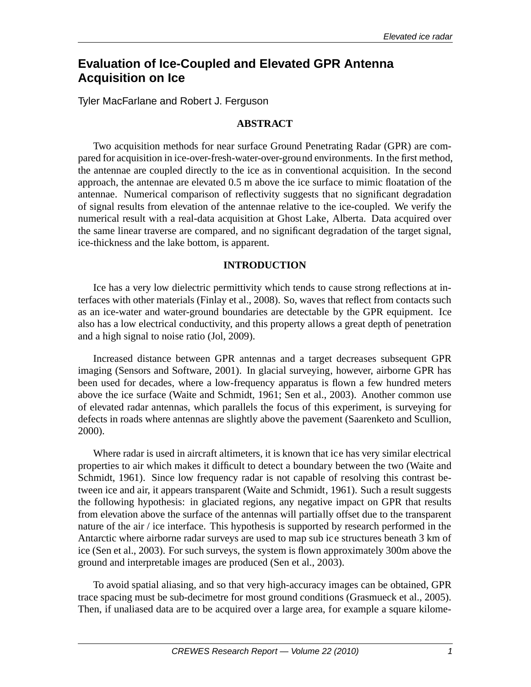# **Evaluation of Ice-Coupled and Elevated GPR Antenna Acquisition on Ice**

Tyler MacFarlane and Robert J. Ferguson

## **ABSTRACT**

Two acquisition methods for near surface Ground Penetrating Radar (GPR) are compared for acquisition in ice-over-fresh-water-over-ground environments. In the first method, the antennae are coupled directly to the ice as in conventional acquisition. In the second approach, the antennae are elevated 0.5 m above the ice surface to mimic floatation of the antennae. Numerical comparison of reflectivity suggests that no significant degradation of signal results from elevation of the antennae relative to the ice-coupled. We verify the numerical result with a real-data acquisition at Ghost Lake, Alberta. Data acquired over the same linear traverse are compared, and no significant degradation of the target signal, ice-thickness and the lake bottom, is apparent.

## **INTRODUCTION**

Ice has a very low dielectric permittivity which tends to cause strong reflections at interfaces with other materials (Finlay et al., 2008). So, waves that reflect from contacts such as an ice-water and water-ground boundaries are detectable by the GPR equipment. Ice also has a low electrical conductivity, and this property allows a great depth of penetration and a high signal to noise ratio (Jol, 2009).

Increased distance between GPR antennas and a target decreases subsequent GPR imaging (Sensors and Software, 2001). In glacial surveying, however, airborne GPR has been used for decades, where a low-frequency apparatus is flown a few hundred meters above the ice surface (Waite and Schmidt, 1961; Sen et al., 2003). Another common use of elevated radar antennas, which parallels the focus of this experiment, is surveying for defects in roads where antennas are slightly above the pavement (Saarenketo and Scullion, 2000).

Where radar is used in aircraft altimeters, it is known that ice has very similar electrical properties to air which makes it difficult to detect a boundary between the two (Waite and Schmidt, 1961). Since low frequency radar is not capable of resolving this contrast between ice and air, it appears transparent (Waite and Schmidt, 1961). Such a result suggests the following hypothesis: in glaciated regions, any negative impact on GPR that results from elevation above the surface of the antennas will partially offset due to the transparent nature of the air / ice interface. This hypothesis is supported by research performed in the Antarctic where airborne radar surveys are used to map sub ice structures beneath 3 km of ice (Sen et al., 2003). For such surveys, the system is flown approximately 300m above the ground and interpretable images are produced (Sen et al., 2003).

To avoid spatial aliasing, and so that very high-accuracy images can be obtained, GPR trace spacing must be sub-decimetre for most ground conditions (Grasmueck et al., 2005). Then, if unaliased data are to be acquired over a large area, for example a square kilome-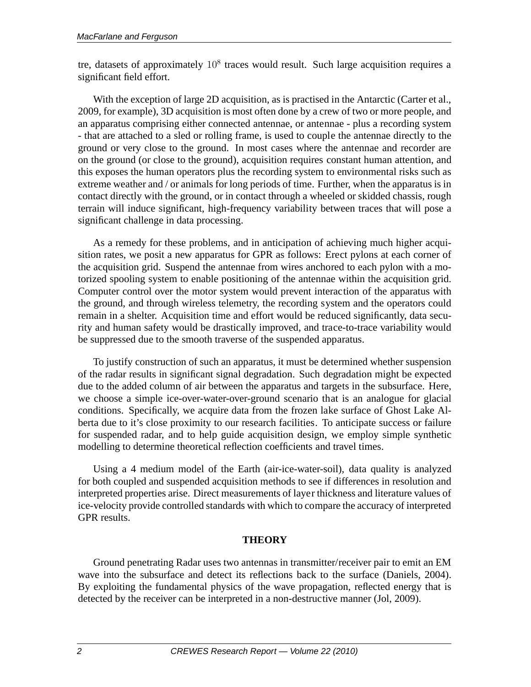tre, datasets of approximately  $10<sup>8</sup>$  traces would result. Such large acquisition requires a significant field effort.

With the exception of large 2D acquisition, as is practised in the Antarctic (Carter et al., 2009, for example), 3D acquisition is most often done by a crew of two or more people, and an apparatus comprising either connected antennae, or antennae - plus a recording system - that are attached to a sled or rolling frame, is used to couple the antennae directly to the ground or very close to the ground. In most cases where the antennae and recorder are on the ground (or close to the ground), acquisition requires constant human attention, and this exposes the human operators plus the recording system to environmental risks such as extreme weather and / or animals for long periods of time. Further, when the apparatus is in contact directly with the ground, or in contact through a wheeled or skidded chassis, rough terrain will induce significant, high-frequency variability between traces that will pose a significant challenge in data processing.

As a remedy for these problems, and in anticipation of achieving much higher acquisition rates, we posit a new apparatus for GPR as follows: Erect pylons at each corner of the acquisition grid. Suspend the antennae from wires anchored to each pylon with a motorized spooling system to enable positioning of the antennae within the acquisition grid. Computer control over the motor system would prevent interaction of the apparatus with the ground, and through wireless telemetry, the recording system and the operators could remain in a shelter. Acquisition time and effort would be reduced significantly, data security and human safety would be drastically improved, and trace-to-trace variability would be suppressed due to the smooth traverse of the suspended apparatus.

To justify construction of such an apparatus, it must be determined whether suspension of the radar results in significant signal degradation. Such degradation might be expected due to the added column of air between the apparatus and targets in the subsurface. Here, we choose a simple ice-over-water-over-ground scenario that is an analogue for glacial conditions. Specifically, we acquire data from the frozen lake surface of Ghost Lake Alberta due to it's close proximity to our research facilities. To anticipate success or failure for suspended radar, and to help guide acquisition design, we employ simple synthetic modelling to determine theoretical reflection coefficients and travel times.

Using a 4 medium model of the Earth (air-ice-water-soil), data quality is analyzed for both coupled and suspended acquisition methods to see if differences in resolution and interpreted properties arise. Direct measurements of layer thickness and literature values of ice-velocity provide controlled standards with which to compare the accuracy of interpreted GPR results.

## **THEORY**

Ground penetrating Radar uses two antennas in transmitter/receiver pair to emit an EM wave into the subsurface and detect its reflections back to the surface (Daniels, 2004). By exploiting the fundamental physics of the wave propagation, reflected energy that is detected by the receiver can be interpreted in a non-destructive manner (Jol, 2009).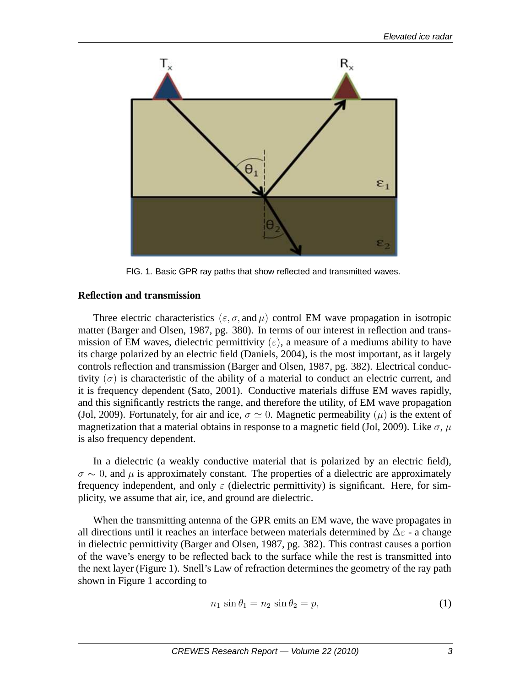

FIG. 1. Basic GPR ray paths that show reflected and transmitted waves.

## **Reflection and transmission**

Three electric characteristics ( $\varepsilon$ ,  $\sigma$ , and  $\mu$ ) control EM wave propagation in isotropic matter (Barger and Olsen, 1987, pg. 380). In terms of our interest in reflection and transmission of EM waves, dielectric permittivity  $(\varepsilon)$ , a measure of a mediums ability to have its charge polarized by an electric field (Daniels, 2004), is the most important, as it largely controls reflection and transmission (Barger and Olsen, 1987, pg. 382). Electrical conductivity  $(\sigma)$  is characteristic of the ability of a material to conduct an electric current, and it is frequency dependent (Sato, 2001). Conductive materials diffuse EM waves rapidly, and this significantly restricts the range, and therefore the utility, of EM wave propagation (Jol, 2009). Fortunately, for air and ice,  $\sigma \simeq 0$ . Magnetic permeability ( $\mu$ ) is the extent of magnetization that a material obtains in response to a magnetic field (Jol, 2009). Like  $\sigma$ ,  $\mu$ is also frequency dependent.

In a dielectric (a weakly conductive material that is polarized by an electric field),  $\sigma \sim 0$ , and  $\mu$  is approximately constant. The properties of a dielectric are approximately frequency independent, and only  $\varepsilon$  (dielectric permittivity) is significant. Here, for simplicity, we assume that air, ice, and ground are dielectric.

When the transmitting antenna of the GPR emits an EM wave, the wave propagates in all directions until it reaches an interface between materials determined by  $\Delta \varepsilon$  - a change in dielectric permittivity (Barger and Olsen, 1987, pg. 382). This contrast causes a portion of the wave's energy to be reflected back to the surface while the rest is transmitted into the next layer (Figure 1). Snell's Law of refraction determines the geometry of the ray path shown in Figure 1 according to

$$
n_1 \sin \theta_1 = n_2 \sin \theta_2 = p,\tag{1}
$$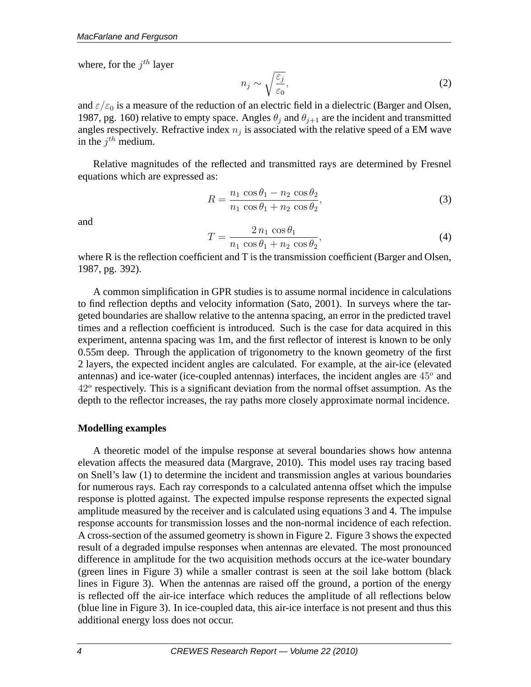where, for the  $j^{th}$  layer

$$
n_j \sim \sqrt{\frac{\varepsilon_j}{\varepsilon_0}},\tag{2}
$$

and  $\varepsilon/\varepsilon_0$  is a measure of the reduction of an electric field in a dielectric (Barger and Olsen, 1987, pg. 160) relative to empty space. Angles  $\theta_i$  and  $\theta_{i+1}$  are the incident and transmitted angles respectively. Refractive index  $n_j$  is associated with the relative speed of a EM wave in the  $j^{th}$  medium.

Relative magnitudes of the reflected and transmitted rays are determined by Fresnel equations which are expressed as:

$$
R = \frac{n_1 \cos \theta_1 - n_2 \cos \theta_2}{n_1 \cos \theta_1 + n_2 \cos \theta_2},
$$
\n(3)

and

$$
T = \frac{2 n_1 \cos \theta_1}{n_1 \cos \theta_1 + n_2 \cos \theta_2},\tag{4}
$$

where R is the reflection coefficient and T is the transmission coefficient (Barger and Olsen, 1987, pg. 392).

A common simplification in GPR studies is to assume normal incidence in calculations to find reflection depths and velocity information (Sato, 2001). In surveys where the targeted boundaries are shallow relative to the antenna spacing, an error in the predicted travel times and a reflection coefficient is introduced. Such is the case for data acquired in this experiment, antenna spacing was 1m, and the first reflector of interest is known to be only 0.55m deep. Through the application of trigonometry to the known geometry of the first 2 layers, the expected incident angles are calculated. For example, at the air-ice (elevated antennas) and ice-water (ice-coupled antennas) interfaces, the incident angles are  $45^{\circ}$  and 42° respectively. This is a significant deviation from the normal offset assumption. As the depth to the reflector increases, the ray paths more closely approximate normal incidence.

## **Modelling examples**

A theoretic model of the impulse response at several boundaries shows how antenna elevation affects the measured data (Margrave, 2010). This model uses ray tracing based on Snell's law (1) to determine the incident and transmission angles at various boundaries for numerous rays. Each ray corresponds to a calculated antenna offset which the impulse response is plotted against. The expected impulse response represents the expected signal amplitude measured by the receiver and is calculated using equations 3 and 4. The impulse response accounts for transmission losses and the non-normal incidence of each refection. A cross-section of the assumed geometry is shown in Figure 2. Figure 3 shows the expected result of a degraded impulse responses when antennas are elevated. The most pronounced difference in amplitude for the two acquisition methods occurs at the ice-water boundary (green lines in Figure 3) while a smaller contrast is seen at the soil lake bottom (black lines in Figure 3). When the antennas are raised off the ground, a portion of the energy is reflected off the air-ice interface which reduces the amplitude of all reflections below (blue line in Figure 3). In ice-coupled data, this air-ice interface is not present and thus this additional energy loss does not occur.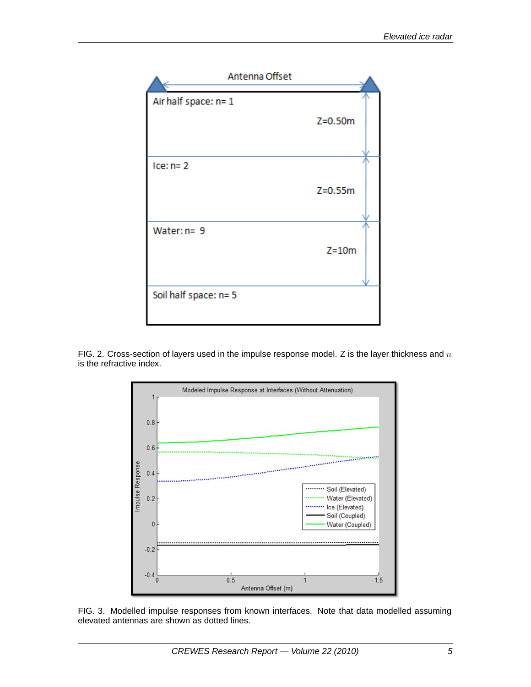

FIG. 2. Cross-section of layers used in the impulse response model. Z is the layer thickness and  $n$ is the refractive index.



FIG. 3. Modelled impulse responses from known interfaces. Note that data modelled assuming elevated antennas are shown as dotted lines.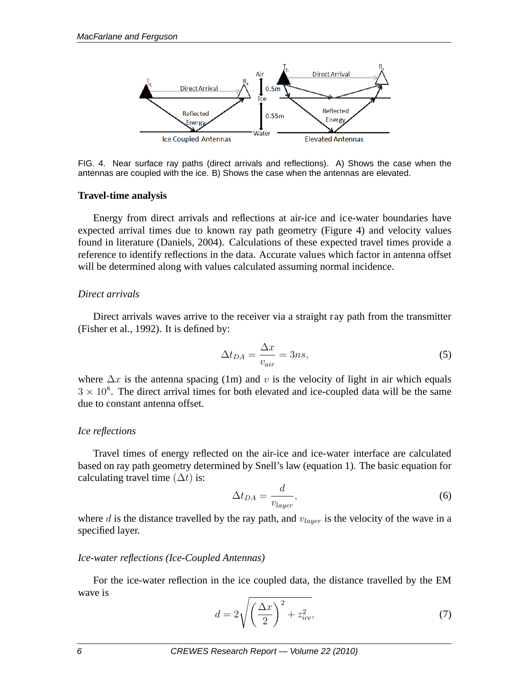

FIG. 4. Near surface ray paths (direct arrivals and reflections). A) Shows the case when the antennas are coupled with the ice. B) Shows the case when the antennas are elevated.

### **Travel-time analysis**

Energy from direct arrivals and reflections at air-ice and ice-water boundaries have expected arrival times due to known ray path geometry (Figure 4) and velocity values found in literature (Daniels, 2004). Calculations of these expected travel times provide a reference to identify reflections in the data. Accurate values which factor in antenna offset will be determined along with values calculated assuming normal incidence.

### *Direct arrivals*

Direct arrivals waves arrive to the receiver via a straight ray path from the transmitter (Fisher et al., 1992). It is defined by:

$$
\Delta t_{DA} = \frac{\Delta x}{v_{air}} = 3ns,\tag{5}
$$

where  $\Delta x$  is the antenna spacing (1m) and v is the velocity of light in air which equals  $3 \times 10^8$ . The direct arrival times for both elevated and ice-coupled data will be the same due to constant antenna offset.

### *Ice reflections*

Travel times of energy reflected on the air-ice and ice-water interface are calculated based on ray path geometry determined by Snell's law (equation 1). The basic equation for calculating travel time  $(\Delta t)$  is:

$$
\Delta t_{DA} = \frac{d}{v_{layer}},\tag{6}
$$

where d is the distance travelled by the ray path, and  $v_{layer}$  is the velocity of the wave in a specified layer.

### *Ice-water reflections (Ice-Coupled Antennas)*

For the ice-water reflection in the ice coupled data, the distance travelled by the EM wave is

$$
d = 2\sqrt{\left(\frac{\Delta x}{2}\right)^2 + z_{ice}^2},\tag{7}
$$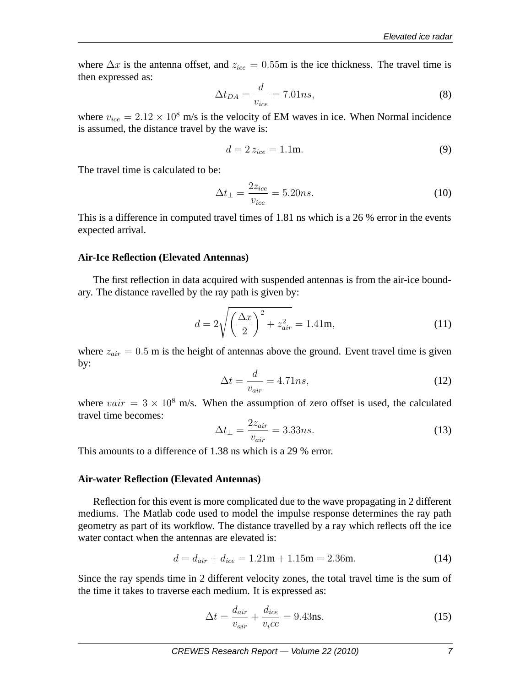where  $\Delta x$  is the antenna offset, and  $z_{ice} = 0.55$ m is the ice thickness. The travel time is then expressed as:

$$
\Delta t_{DA} = \frac{d}{v_{ice}} = 7.01ns,\tag{8}
$$

where  $v_{ice} = 2.12 \times 10^8$  m/s is the velocity of EM waves in ice. When Normal incidence is assumed, the distance travel by the wave is:

$$
d = 2 z_{ice} = 1.1 \text{m}.
$$
 (9)

The travel time is calculated to be:

$$
\Delta t_{\perp} = \frac{2z_{ice}}{v_{ice}} = 5.20ns. \tag{10}
$$

This is a difference in computed travel times of 1.81 ns which is a 26 % error in the events expected arrival.

### **Air-Ice Reflection (Elevated Antennas)**

The first reflection in data acquired with suspended antennas is from the air-ice boundary. The distance ravelled by the ray path is given by:

$$
d = 2\sqrt{\left(\frac{\Delta x}{2}\right)^2 + z_{air}^2} = 1.41 \text{m},\tag{11}
$$

where  $z_{air} = 0.5$  m is the height of antennas above the ground. Event travel time is given by:

$$
\Delta t = \frac{d}{v_{air}} = 4.71ns,\tag{12}
$$

where  $vair = 3 \times 10^8$  m/s. When the assumption of zero offset is used, the calculated travel time becomes:

$$
\Delta t_{\perp} = \frac{2z_{air}}{v_{air}} = 3.33ns. \tag{13}
$$

This amounts to a difference of 1.38 ns which is a 29 % error.

#### **Air-water Reflection (Elevated Antennas)**

Reflection for this event is more complicated due to the wave propagating in 2 different mediums. The Matlab code used to model the impulse response determines the ray path geometry as part of its workflow. The distance travelled by a ray which reflects off the ice water contact when the antennas are elevated is:

$$
d = d_{air} + d_{ice} = 1.21m + 1.15m = 2.36m.
$$
 (14)

Since the ray spends time in 2 different velocity zones, the total travel time is the sum of the time it takes to traverse each medium. It is expressed as:

$$
\Delta t = \frac{d_{air}}{v_{air}} + \frac{d_{ice}}{v_i ce} = 9.43 \text{ns}.
$$
\n(15)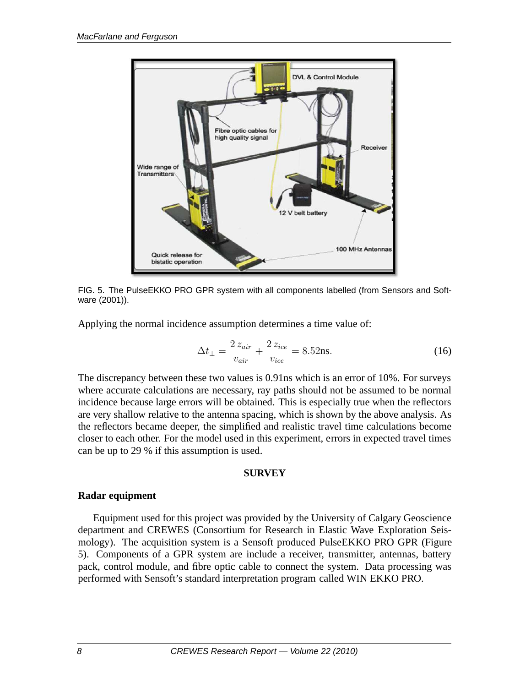

FIG. 5. The PulseEKKO PRO GPR system with all components labelled (from Sensors and Software (2001)).

Applying the normal incidence assumption determines a time value of:

$$
\Delta t_{\perp} = \frac{2 z_{air}}{v_{air}} + \frac{2 z_{ice}}{v_{ice}} = 8.52 \text{ns}.
$$
\n(16)

The discrepancy between these two values is 0.91ns which is an error of 10%. For surveys where accurate calculations are necessary, ray paths should not be assumed to be normal incidence because large errors will be obtained. This is especially true when the reflectors are very shallow relative to the antenna spacing, which is shown by the above analysis. As the reflectors became deeper, the simplified and realistic travel time calculations become closer to each other. For the model used in this experiment, errors in expected travel times can be up to 29 % if this assumption is used.

### **SURVEY**

## **Radar equipment**

Equipment used for this project was provided by the University of Calgary Geoscience department and CREWES (Consortium for Research in Elastic Wave Exploration Seismology). The acquisition system is a Sensoft produced PulseEKKO PRO GPR (Figure 5). Components of a GPR system are include a receiver, transmitter, antennas, battery pack, control module, and fibre optic cable to connect the system. Data processing was performed with Sensoft's standard interpretation program called WIN EKKO PRO.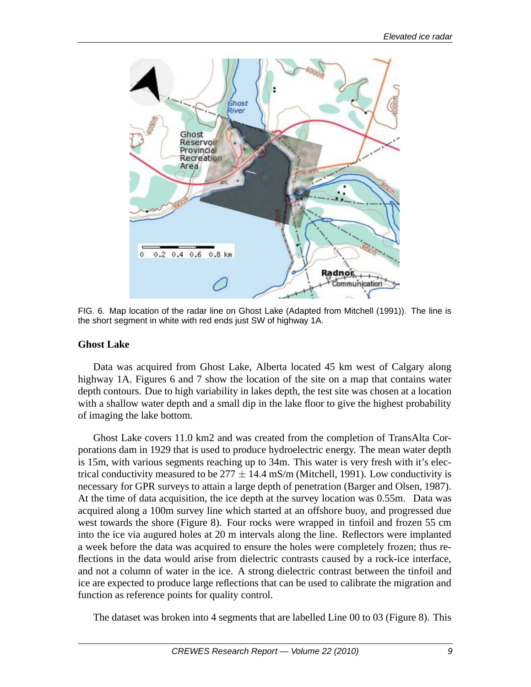

FIG. 6. Map location of the radar line on Ghost Lake (Adapted from Mitchell (1991)). The line is the short segment in white with red ends just SW of highway 1A.

### **Ghost Lake**

Data was acquired from Ghost Lake, Alberta located 45 km west of Calgary along highway 1A. Figures 6 and 7 show the location of the site on a map that contains water depth contours. Due to high variability in lakes depth, the test site was chosen at a location with a shallow water depth and a small dip in the lake floor to give the highest probability of imaging the lake bottom.

Ghost Lake covers 11.0 km2 and was created from the completion of TransAlta Corporations dam in 1929 that is used to produce hydroelectric energy. The mean water depth is 15m, with various segments reaching up to 34m. This water is very fresh with it's electrical conductivity measured to be  $277 \pm 14.4$  mS/m (Mitchell, 1991). Low conductivity is necessary for GPR surveys to attain a large depth of penetration (Barger and Olsen, 1987). At the time of data acquisition, the ice depth at the survey location was 0.55m. Data was acquired along a 100m survey line which started at an offshore buoy, and progressed due west towards the shore (Figure 8). Four rocks were wrapped in tinfoil and frozen 55 cm into the ice via augured holes at 20 m intervals along the line. Reflectors were implanted a week before the data was acquired to ensure the holes were completely frozen; thus reflections in the data would arise from dielectric contrasts caused by a rock-ice interface, and not a column of water in the ice. A strong dielectric contrast between the tinfoil and ice are expected to produce large reflections that can be used to calibrate the migration and function as reference points for quality control.

The dataset was broken into 4 segments that are labelled Line 00 to 03 (Figure 8). This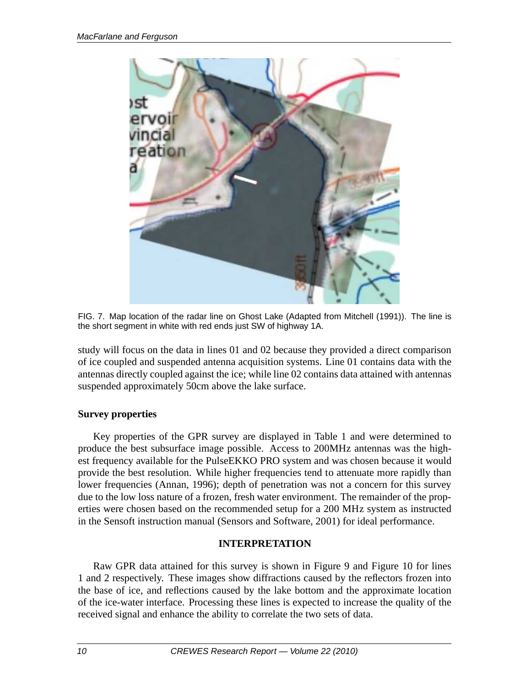

FIG. 7. Map location of the radar line on Ghost Lake (Adapted from Mitchell (1991)). The line is the short segment in white with red ends just SW of highway 1A.

study will focus on the data in lines 01 and 02 because they provided a direct comparison of ice coupled and suspended antenna acquisition systems. Line 01 contains data with the antennas directly coupled against the ice; while line 02 contains data attained with antennas suspended approximately 50cm above the lake surface.

## **Survey properties**

Key properties of the GPR survey are displayed in Table 1 and were determined to produce the best subsurface image possible. Access to 200MHz antennas was the highest frequency available for the PulseEKKO PRO system and was chosen because it would provide the best resolution. While higher frequencies tend to attenuate more rapidly than lower frequencies (Annan, 1996); depth of penetration was not a concern for this survey due to the low loss nature of a frozen, fresh water environment. The remainder of the properties were chosen based on the recommended setup for a 200 MHz system as instructed in the Sensoft instruction manual (Sensors and Software, 2001) for ideal performance.

# **INTERPRETATION**

Raw GPR data attained for this survey is shown in Figure 9 and Figure 10 for lines 1 and 2 respectively. These images show diffractions caused by the reflectors frozen into the base of ice, and reflections caused by the lake bottom and the approximate location of the ice-water interface. Processing these lines is expected to increase the quality of the received signal and enhance the ability to correlate the two sets of data.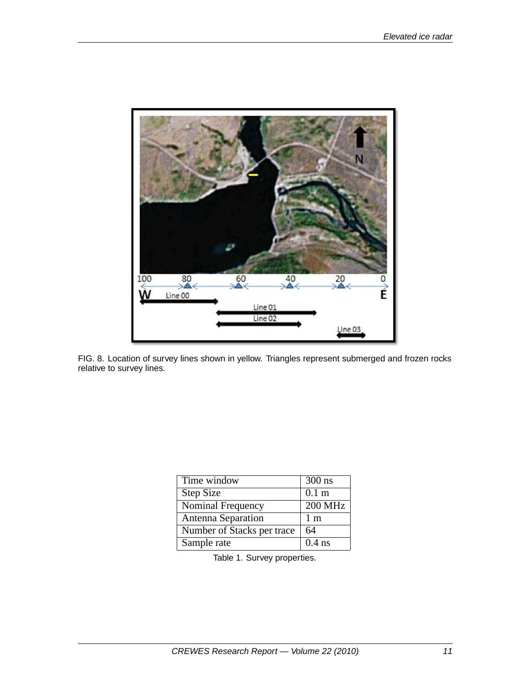

FIG. 8. Location of survey lines shown in yellow. Triangles represent submerged and frozen rocks relative to survey lines.

| Time window                | $300$ ns         |
|----------------------------|------------------|
| <b>Step Size</b>           | 0.1 <sub>m</sub> |
| Nominal Frequency          | <b>200 MHz</b>   |
| Antenna Separation         | 1 <sub>m</sub>   |
| Number of Stacks per trace | 64               |
| Sample rate                | $0.4$ ns         |

Table 1. Survey properties.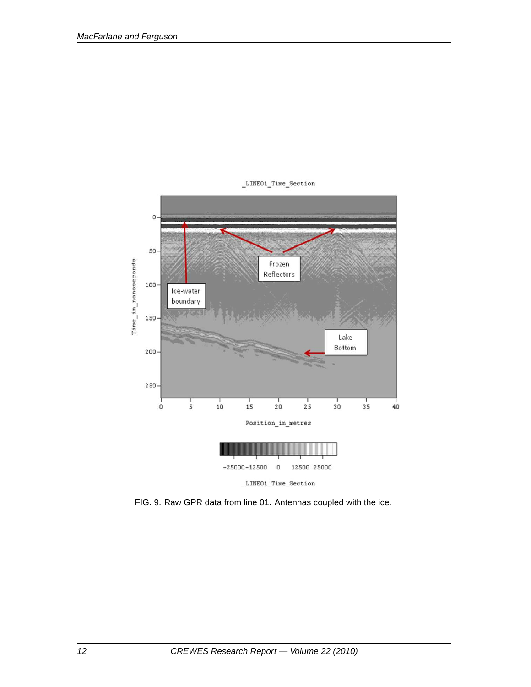

\_LINE01\_Time\_Section

FIG. 9. Raw GPR data from line 01. Antennas coupled with the ice.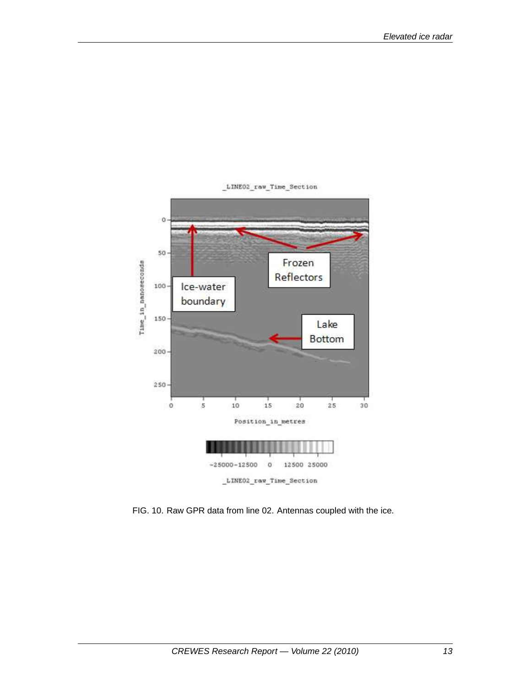

LINEO2 raw Time Section

FIG. 10. Raw GPR data from line 02. Antennas coupled with the ice.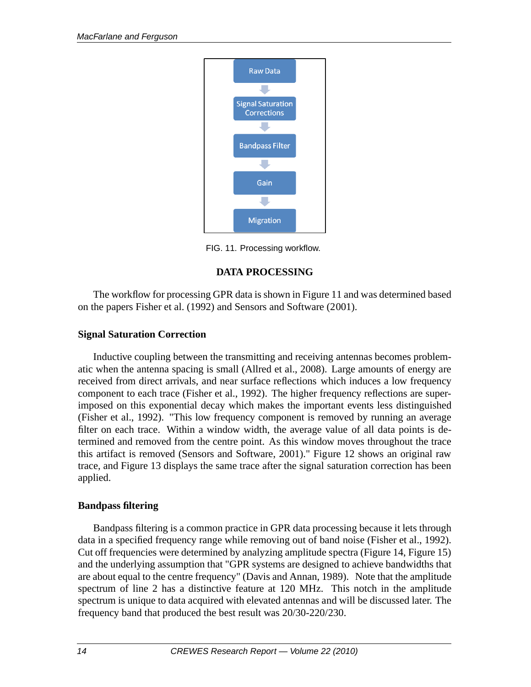

FIG. 11. Processing workflow.

# **DATA PROCESSING**

The workflow for processing GPR data is shown in Figure 11 and was determined based on the papers Fisher et al. (1992) and Sensors and Software (2001).

## **Signal Saturation Correction**

Inductive coupling between the transmitting and receiving antennas becomes problematic when the antenna spacing is small (Allred et al., 2008). Large amounts of energy are received from direct arrivals, and near surface reflections which induces a low frequency component to each trace (Fisher et al., 1992). The higher frequency reflections are superimposed on this exponential decay which makes the important events less distinguished (Fisher et al., 1992). "This low frequency component is removed by running an average filter on each trace. Within a window width, the average value of all data points is determined and removed from the centre point. As this window moves throughout the trace this artifact is removed (Sensors and Software, 2001)." Figure 12 shows an original raw trace, and Figure 13 displays the same trace after the signal saturation correction has been applied.

## **Bandpass filtering**

Bandpass filtering is a common practice in GPR data processing because it lets through data in a specified frequency range while removing out of band noise (Fisher et al., 1992). Cut off frequencies were determined by analyzing amplitude spectra (Figure 14, Figure 15) and the underlying assumption that "GPR systems are designed to achieve bandwidths that are about equal to the centre frequency" (Davis and Annan, 1989). Note that the amplitude spectrum of line 2 has a distinctive feature at 120 MHz. This notch in the amplitude spectrum is unique to data acquired with elevated antennas and will be discussed later. The frequency band that produced the best result was 20/30-220/230.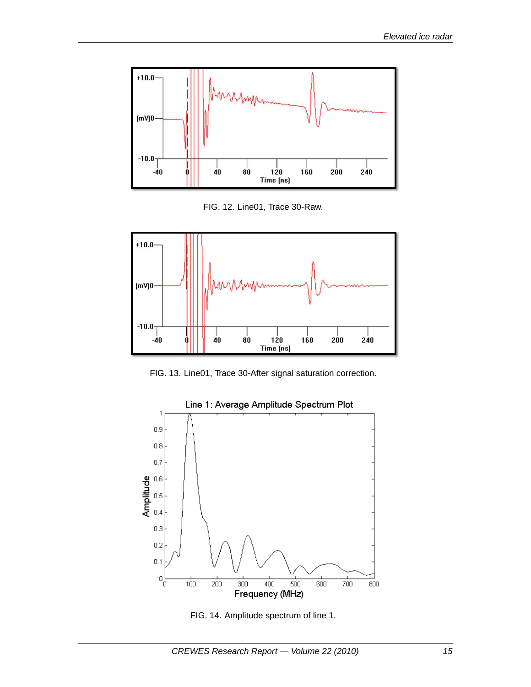

FIG. 12. Line01, Trace 30-Raw.



FIG. 13. Line01, Trace 30-After signal saturation correction.



FIG. 14. Amplitude spectrum of line 1.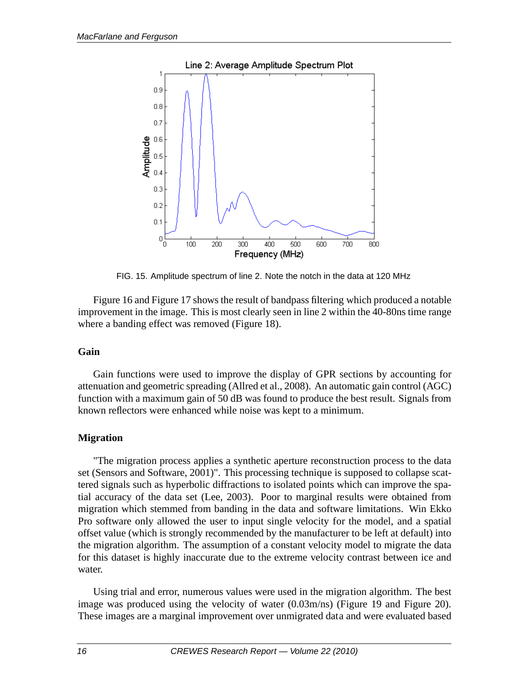

FIG. 15. Amplitude spectrum of line 2. Note the notch in the data at 120 MHz

Figure 16 and Figure 17 shows the result of bandpass filtering which produced a notable improvement in the image. This is most clearly seen in line 2 within the 40-80ns time range where a banding effect was removed (Figure 18).

### **Gain**

Gain functions were used to improve the display of GPR sections by accounting for attenuation and geometric spreading (Allred et al., 2008). An automatic gain control (AGC) function with a maximum gain of 50 dB was found to produce the best result. Signals from known reflectors were enhanced while noise was kept to a minimum.

## **Migration**

"The migration process applies a synthetic aperture reconstruction process to the data set (Sensors and Software, 2001)". This processing technique is supposed to collapse scattered signals such as hyperbolic diffractions to isolated points which can improve the spatial accuracy of the data set (Lee, 2003). Poor to marginal results were obtained from migration which stemmed from banding in the data and software limitations. Win Ekko Pro software only allowed the user to input single velocity for the model, and a spatial offset value (which is strongly recommended by the manufacturer to be left at default) into the migration algorithm. The assumption of a constant velocity model to migrate the data for this dataset is highly inaccurate due to the extreme velocity contrast between ice and water.

Using trial and error, numerous values were used in the migration algorithm. The best image was produced using the velocity of water (0.03m/ns) (Figure 19 and Figure 20). These images are a marginal improvement over unmigrated data and were evaluated based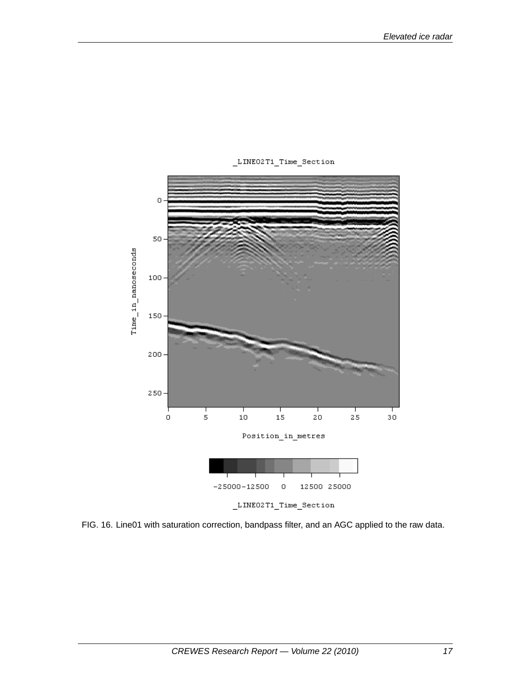

\_LINE02T1\_Time\_Section

FIG. 16. Line01 with saturation correction, bandpass filter, and an AGC applied to the raw data.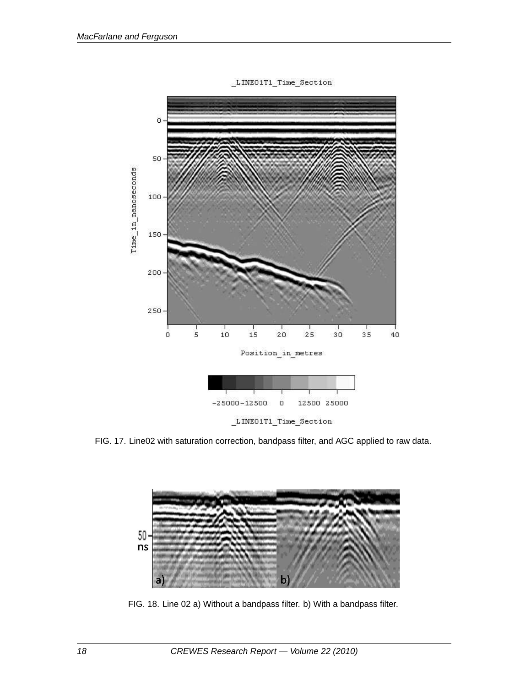

LINE01T1\_Time\_Section

FIG. 17. Line02 with saturation correction, bandpass filter, and AGC applied to raw data.



FIG. 18. Line 02 a) Without a bandpass filter. b) With a bandpass filter.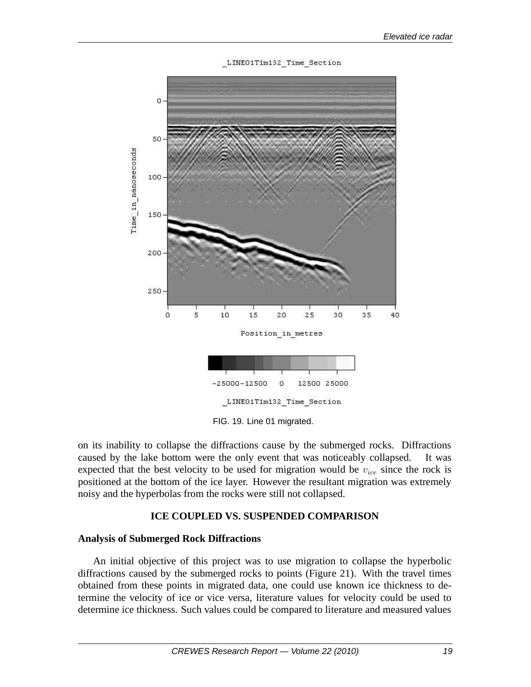



FIG. 19. Line 01 migrated.

on its inability to collapse the diffractions cause by the submerged rocks. Diffractions caused by the lake bottom were the only event that was noticeably collapsed. It was expected that the best velocity to be used for migration would be  $v_{ice}$  since the rock is positioned at the bottom of the ice layer. However the resultant migration was extremely noisy and the hyperbolas from the rocks were still not collapsed.

### **ICE COUPLED VS. SUSPENDED COMPARISON**

### **Analysis of Submerged Rock Diffractions**

An initial objective of this project was to use migration to collapse the hyperbolic diffractions caused by the submerged rocks to points (Figure 21). With the travel times obtained from these points in migrated data, one could use known ice thickness to determine the velocity of ice or vice versa, literature values for velocity could be used to determine ice thickness. Such values could be compared to literature and measured values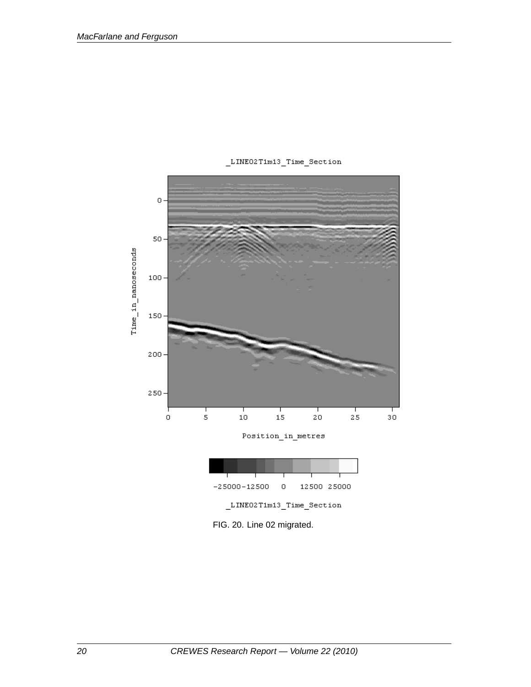

\_LINE02T1m13\_Time\_Section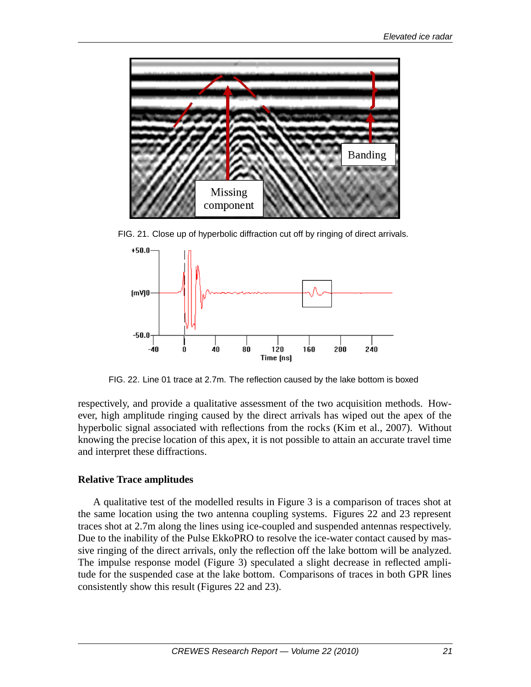

FIG. 21. Close up of hyperbolic diffraction cut off by ringing of direct arrivals.



FIG. 22. Line 01 trace at 2.7m. The reflection caused by the lake bottom is boxed

respectively, and provide a qualitative assessment of the two acquisition methods. However, high amplitude ringing caused by the direct arrivals has wiped out the apex of the hyperbolic signal associated with reflections from the rocks (Kim et al., 2007). Without knowing the precise location of this apex, it is not possible to attain an accurate travel time and interpret these diffractions.

## **Relative Trace amplitudes**

A qualitative test of the modelled results in Figure 3 is a comparison of traces shot at the same location using the two antenna coupling systems. Figures 22 and 23 represent traces shot at 2.7m along the lines using ice-coupled and suspended antennas respectively. Due to the inability of the Pulse EkkoPRO to resolve the ice-water contact caused by massive ringing of the direct arrivals, only the reflection off the lake bottom will be analyzed. The impulse response model (Figure 3) speculated a slight decrease in reflected amplitude for the suspended case at the lake bottom. Comparisons of traces in both GPR lines consistently show this result (Figures 22 and 23).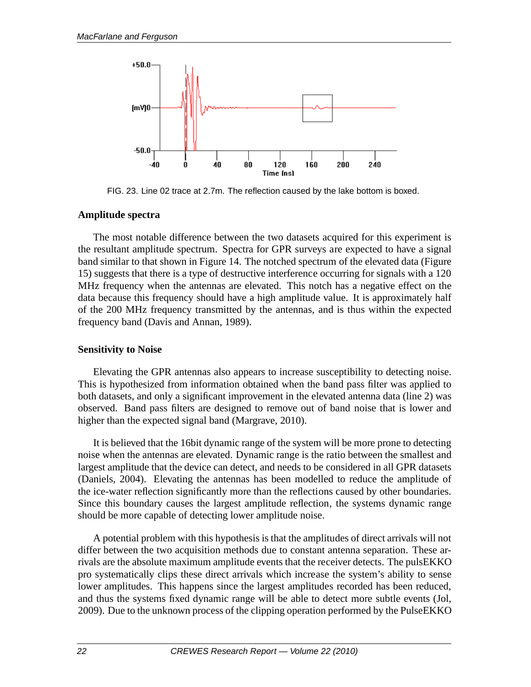

FIG. 23. Line 02 trace at 2.7m. The reflection caused by the lake bottom is boxed.

## **Amplitude spectra**

The most notable difference between the two datasets acquired for this experiment is the resultant amplitude spectrum. Spectra for GPR surveys are expected to have a signal band similar to that shown in Figure 14. The notched spectrum of the elevated data (Figure 15) suggests that there is a type of destructive interference occurring for signals with a 120 MHz frequency when the antennas are elevated. This notch has a negative effect on the data because this frequency should have a high amplitude value. It is approximately half of the 200 MHz frequency transmitted by the antennas, and is thus within the expected frequency band (Davis and Annan, 1989).

## **Sensitivity to Noise**

Elevating the GPR antennas also appears to increase susceptibility to detecting noise. This is hypothesized from information obtained when the band pass filter was applied to both datasets, and only a significant improvement in the elevated antenna data (line 2) was observed. Band pass filters are designed to remove out of band noise that is lower and higher than the expected signal band (Margrave, 2010).

It is believed that the 16bit dynamic range of the system will be more prone to detecting noise when the antennas are elevated. Dynamic range is the ratio between the smallest and largest amplitude that the device can detect, and needs to be considered in all GPR datasets (Daniels, 2004). Elevating the antennas has been modelled to reduce the amplitude of the ice-water reflection significantly more than the reflections caused by other boundaries. Since this boundary causes the largest amplitude reflection, the systems dynamic range should be more capable of detecting lower amplitude noise.

A potential problem with this hypothesis is that the amplitudes of direct arrivals will not differ between the two acquisition methods due to constant antenna separation. These arrivals are the absolute maximum amplitude events that the receiver detects. The pulsEKKO pro systematically clips these direct arrivals which increase the system's ability to sense lower amplitudes. This happens since the largest amplitudes recorded has been reduced, and thus the systems fixed dynamic range will be able to detect more subtle events (Jol, 2009). Due to the unknown process of the clipping operation performed by the PulseEKKO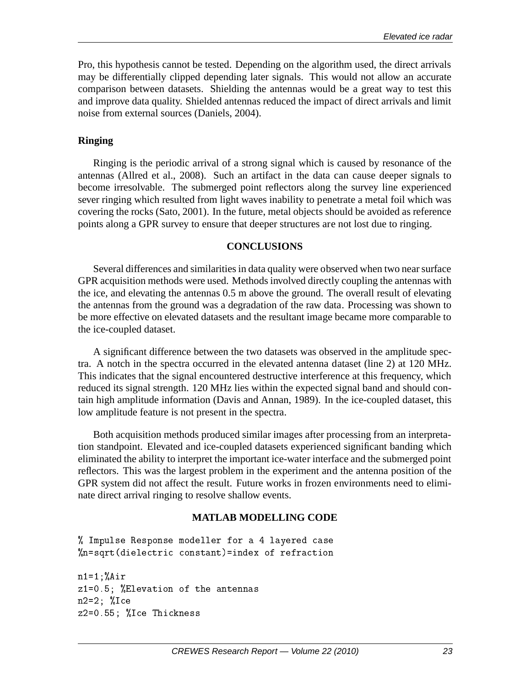Pro, this hypothesis cannot be tested. Depending on the algorithm used, the direct arrivals may be differentially clipped depending later signals. This would not allow an accurate comparison between datasets. Shielding the antennas would be a great way to test this and improve data quality. Shielded antennas reduced the impact of direct arrivals and limit noise from external sources (Daniels, 2004).

## **Ringing**

Ringing is the periodic arrival of a strong signal which is caused by resonance of the antennas (Allred et al., 2008). Such an artifact in the data can cause deeper signals to become irresolvable. The submerged point reflectors along the survey line experienced sever ringing which resulted from light waves inability to penetrate a metal foil which was covering the rocks (Sato, 2001). In the future, metal objects should be avoided as reference points along a GPR survey to ensure that deeper structures are not lost due to ringing.

### **CONCLUSIONS**

Several differences and similarities in data quality were observed when two near surface GPR acquisition methods were used. Methods involved directly coupling the antennas with the ice, and elevating the antennas 0.5 m above the ground. The overall result of elevating the antennas from the ground was a degradation of the raw data. Processing was shown to be more effective on elevated datasets and the resultant image became more comparable to the ice-coupled dataset.

A significant difference between the two datasets was observed in the amplitude spectra. A notch in the spectra occurred in the elevated antenna dataset (line 2) at 120 MHz. This indicates that the signal encountered destructive interference at this frequency, which reduced its signal strength. 120 MHz lies within the expected signal band and should contain high amplitude information (Davis and Annan, 1989). In the ice-coupled dataset, this low amplitude feature is not present in the spectra.

Both acquisition methods produced similar images after processing from an interpretation standpoint. Elevated and ice-coupled datasets experienced significant banding which eliminated the ability to interpret the important ice-water interface and the submerged point reflectors. This was the largest problem in the experiment and the antenna position of the GPR system did not affect the result. Future works in frozen environments need to eliminate direct arrival ringing to resolve shallow events.

### **MATLAB MODELLING CODE**

```
% Impulse Response modeller for a 4 layered case
%n=sqrt(dielectric constant)=index of refraction
```

```
\frac{1}{2}z1=0.5; %Elevation of the antennas
n e an an India an India an India an India an India an India an India an India an India an India an India an I
z2=0.55; %I
e Thi
kness
```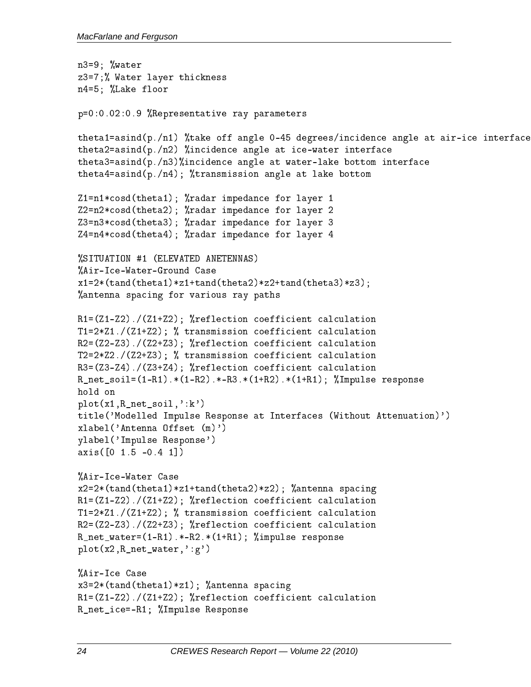```
n3=9; www.com
z3=7;% Water layer thi
kness
n4=5; %Lake floor
p=0:0.02:0.9 %Representative ray parameters
theta1=asind(p./n1) %take off angle 0-45 degrees/incidence angle at air-ice interface
theta2=asind(p./n2) %incidence angle at ice-water interface
theta3=asind(p./n3)%incidence angle at water-lake bottom interface
theta4=asind(p./n4); %transmission angle at lake bottom
Z1=n1*
osd(theta1); %radar impedan
e for layer 1
Z2=n2*
osd(theta2); %radar impedan
e for layer 2
Z3=n3*
osd(theta3); %radar impedan
e for layer 3
Z4=n4*
osd(theta4); %radar impedan
e for layer 4
%SITUATION #1 (ELEVATED ANETENNAS)
%Air-I
e-Water-Ground Case
x1=2*(tand(theta1)*z1+tand(theta2)*z2+tand(theta3)*z3);%antenna spacing for various ray paths
R1 = (Z1 - Z2)./(Z1+Z2); %reflection coefficient calculation
T1=2*Z1./(Z1+Z2); % transmission coefficient calculation
R2=(Z2-Z3)./(Z2+Z3); %reflection coefficient calculation
T2=2*Z2./(Z2+Z3); % transmission coefficient calculation
R3=(Z3-Z4)./(Z3+Z4); %reflection coefficient calculation
R_{net\_soil} = (1 - R1).*(1-R2).*-R3.*(1+R2).*(1+R1); %Impulse response
plot(x1,R_net_soil,':k')
title('Modelled Impulse Response at Interfa
es (Without Attenuation)')
xlabel('Antenna Offset (m)')
ylabel('Impulse Response')
axis([0 1.5 -0.4 1])%Air-I
e-Water Case
x2=2*(tand(theta1)*z1+tand(theta2)*z2); %antenna spa
ing
R1 = (Z1 - Z2)./(Z1+Z2); %reflection coefficient calculation
T1=2*Z1./(Z1+Z2); % transmission coefficient calculation
R2=(Z2-Z3)./(Z2+Z3); %reflection coefficient calculation
R_{net\_water} = (1 - R1).*-R2.*(1+R1); %impulse response
plot(x2,R_net_water,':g')
w \sim 1e case w \sim 1x3=2*(\text{tand}(\text{theta1})*z1); %antenna spacing
R1=(Z1-Z2)./(Z1+Z2); %reflection coefficient calculation
R_net_i
e=-R1; %Impulse Response
```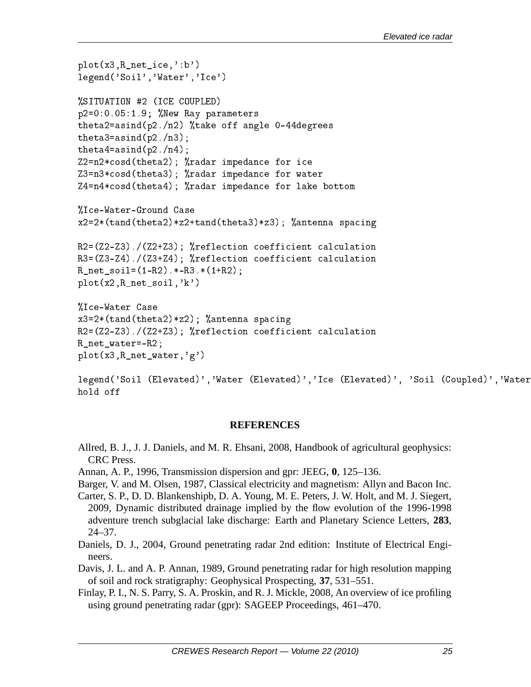```
plot(x3,R_net_i
e,':b')
legend('Soil','Water','Ice')
\blacksquarep2=0:0.05:1.9; %New Ray parameters
theta2=asind(p2./n2) %take off angle 0-44degrees
theta3=asind(p2./n3);
theta4=asind(p2./n4);
Z2=n2*cosd(theta2); %radar impedance for ice
Z3=n3*
osd(theta3); %radar impedan
e for water
Z4=n4*
osd(theta4); %radar impedan
e for lake bottom
%I
e-Water-Ground Case
x2=2*(tand(theta2)*z2+tand(theta3)*z3); %antenna spa
ing
R2=(Z2-Z3)./(Z2+Z3); %reflection coefficient calculation
R3=(Z3-Z4)./(Z3+Z4); %reflection coefficient calculation
R_{net\_soil} = (1 - R2). * -R3. * (1 + R2);
plot(x2,R_net_soil,'k')
%I
e-Water Case
x3=2*(\text{tand}(\text{theta2})*z2); %antenna spacing
R2 = (Z2 - Z3)./(Z2+Z3); %reflection coefficient calculation
R_net_water=-R2;
plot(x3,R_net_water,'g')
```

```
legend('Soil (Elevated)','Water (Elevated)','Ice (Elevated)', 'Soil (Coupled)','Water
```
### **REFERENCES**

- Allred, B. J., J. J. Daniels, and M. R. Ehsani, 2008, Handbook of agricultural geophysics: CRC Press.
- Annan, A. P., 1996, Transmission dispersion and gpr: JEEG, **0**, 125–136.
- Barger, V. and M. Olsen, 1987, Classical electricity and magnetism: Allyn and Bacon Inc.
- Carter, S. P., D. D. Blankenshipb, D. A. Young, M. E. Peters, J. W. Holt, and M. J. Siegert, 2009, Dynamic distributed drainage implied by the flow evolution of the 1996-1998 adventure trench subglacial lake discharge: Earth and Planetary Science Letters, **283**, 24–37.
- Daniels, D. J., 2004, Ground penetrating radar 2nd edition: Institute of Electrical Engineers.
- Davis, J. L. and A. P. Annan, 1989, Ground penetrating radar for high resolution mapping of soil and rock stratigraphy: Geophysical Prospecting, **37**, 531–551.
- Finlay, P. I., N. S. Parry, S. A. Proskin, and R. J. Mickle, 2008, An overview of ice profiling using ground penetrating radar (gpr): SAGEEP Proceedings, 461–470.